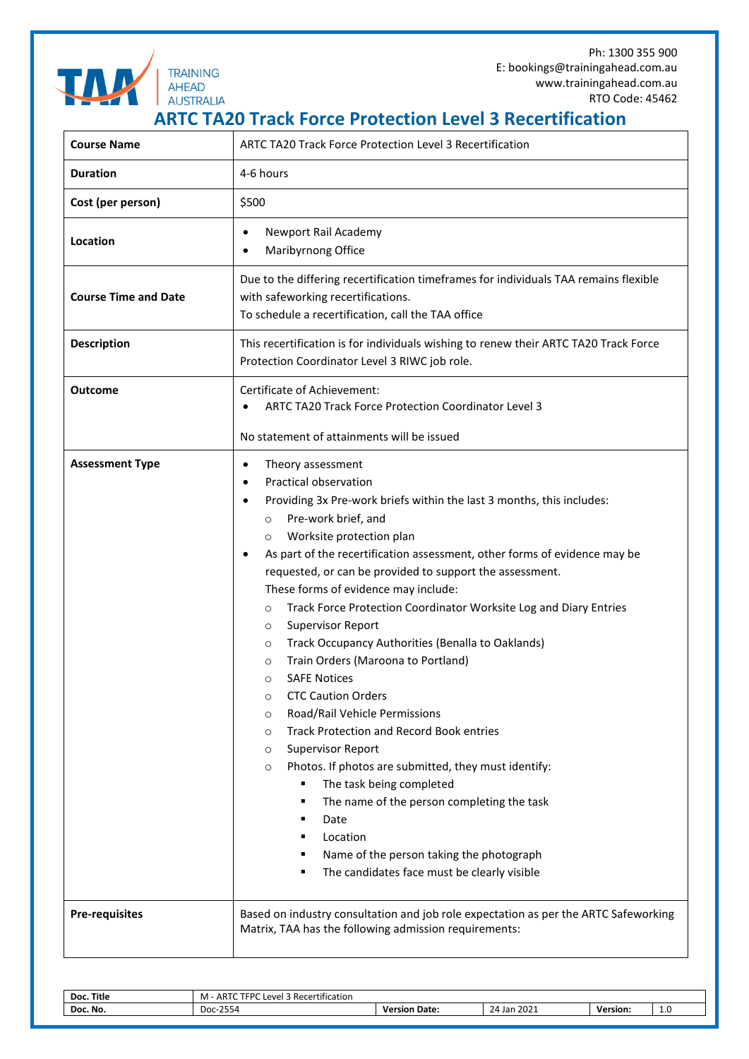Ph: 1300 355 900 E: bookings@trainingahead.com.au www.trainingahead.com.au RTO Code: 45462



**TRAINING AHEAD** 

**ARTC TA20 Track Force Protection Level 3 Recertification**

| <b>Course Name</b>          | <b>ARTC TA20 Track Force Protection Level 3 Recertification</b>                                                                                                                                                                                                                                                                                                                                                                                                                                                                                                                                                                                                                                                                                                                                                                                                                                                                                                                                                                                                                                                     |  |  |  |
|-----------------------------|---------------------------------------------------------------------------------------------------------------------------------------------------------------------------------------------------------------------------------------------------------------------------------------------------------------------------------------------------------------------------------------------------------------------------------------------------------------------------------------------------------------------------------------------------------------------------------------------------------------------------------------------------------------------------------------------------------------------------------------------------------------------------------------------------------------------------------------------------------------------------------------------------------------------------------------------------------------------------------------------------------------------------------------------------------------------------------------------------------------------|--|--|--|
| <b>Duration</b>             | 4-6 hours                                                                                                                                                                                                                                                                                                                                                                                                                                                                                                                                                                                                                                                                                                                                                                                                                                                                                                                                                                                                                                                                                                           |  |  |  |
| Cost (per person)           | \$500                                                                                                                                                                                                                                                                                                                                                                                                                                                                                                                                                                                                                                                                                                                                                                                                                                                                                                                                                                                                                                                                                                               |  |  |  |
| Location                    | Newport Rail Academy<br>Maribyrnong Office                                                                                                                                                                                                                                                                                                                                                                                                                                                                                                                                                                                                                                                                                                                                                                                                                                                                                                                                                                                                                                                                          |  |  |  |
| <b>Course Time and Date</b> | Due to the differing recertification timeframes for individuals TAA remains flexible<br>with safeworking recertifications.<br>To schedule a recertification, call the TAA office                                                                                                                                                                                                                                                                                                                                                                                                                                                                                                                                                                                                                                                                                                                                                                                                                                                                                                                                    |  |  |  |
| <b>Description</b>          | This recertification is for individuals wishing to renew their ARTC TA20 Track Force<br>Protection Coordinator Level 3 RIWC job role.                                                                                                                                                                                                                                                                                                                                                                                                                                                                                                                                                                                                                                                                                                                                                                                                                                                                                                                                                                               |  |  |  |
| <b>Outcome</b>              | <b>Certificate of Achievement:</b><br>ARTC TA20 Track Force Protection Coordinator Level 3<br>No statement of attainments will be issued                                                                                                                                                                                                                                                                                                                                                                                                                                                                                                                                                                                                                                                                                                                                                                                                                                                                                                                                                                            |  |  |  |
| <b>Assessment Type</b>      | Theory assessment<br>٠<br>Practical observation<br>Providing 3x Pre-work briefs within the last 3 months, this includes:<br>Pre-work brief, and<br>$\circ$<br>Worksite protection plan<br>$\circ$<br>As part of the recertification assessment, other forms of evidence may be<br>requested, or can be provided to support the assessment.<br>These forms of evidence may include:<br>Track Force Protection Coordinator Worksite Log and Diary Entries<br>$\circ$<br><b>Supervisor Report</b><br>$\circ$<br>Track Occupancy Authorities (Benalla to Oaklands)<br>$\circ$<br>Train Orders (Maroona to Portland)<br>$\circ$<br><b>SAFE Notices</b><br>O<br><b>CTC Caution Orders</b><br>O<br>Road/Rail Vehicle Permissions<br>$\circ$<br><b>Track Protection and Record Book entries</b><br>O<br><b>Supervisor Report</b><br>$\circ$<br>Photos. If photos are submitted, they must identify:<br>$\circ$<br>The task being completed<br>п<br>The name of the person completing the task<br>п<br>Date<br>٠<br>Location<br>Name of the person taking the photograph<br>The candidates face must be clearly visible<br>٠ |  |  |  |
| <b>Pre-requisites</b>       | Based on industry consultation and job role expectation as per the ARTC Safeworking<br>Matrix, TAA has the following admission requirements:                                                                                                                                                                                                                                                                                                                                                                                                                                                                                                                                                                                                                                                                                                                                                                                                                                                                                                                                                                        |  |  |  |

| <b>Title</b><br>Doc. | $ARTC$ TFPC<br>$\cdots$<br>$\sim$ $\sim$<br>ا Recertification<br>P(A B)<br>M<br>-- |                  |                          |          |   |
|----------------------|------------------------------------------------------------------------------------|------------------|--------------------------|----------|---|
| Doc. No.             | $-2554$<br>-ממר<br>DUC.                                                            | Date:<br>Version | 202<br>24<br>Jan<br>ZUZI | Version: | ᆠ |
|                      |                                                                                    |                  |                          |          |   |